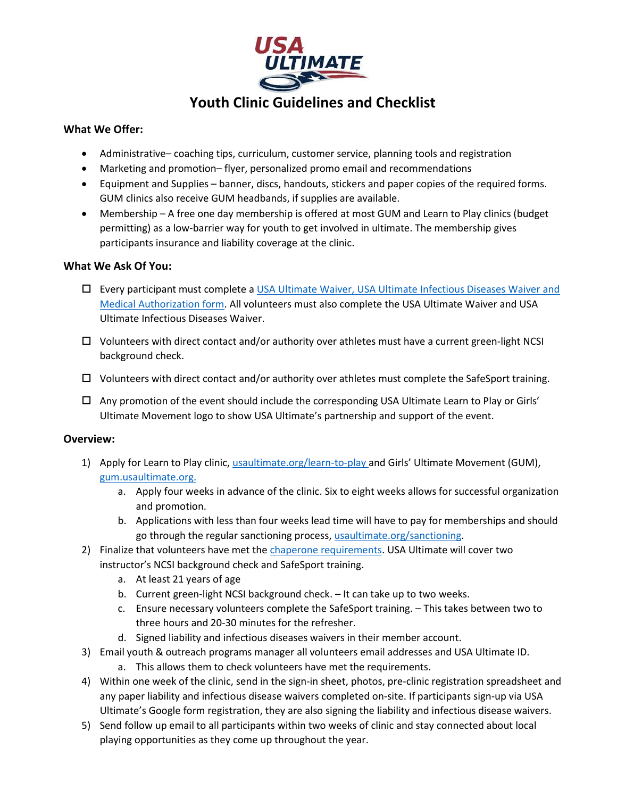

# **Youth Clinic Guidelines and Checklist**

## **What We Offer:**

- Administrative– coaching tips, curriculum, customer service, planning tools and registration
- Marketing and promotion– flyer, personalized promo email and recommendations
- Equipment and Supplies banner, discs, handouts, stickers and paper copies of the required forms. GUM clinics also receive GUM headbands, if supplies are available.
- Membership A free one day membership is offered at most GUM and Learn to Play clinics (budget permitting) as a low-barrier way for youth to get involved in ultimate. The membership gives participants insurance and liability coverage at the clinic.

## **What We Ask Of You:**

- Every participant must complete a [USA Ultimate Waiver, USA Ultimate Infectious Diseases Waiver](https://www.usaultimate.org/membership/) and [Medical Authorization form.](https://www.usaultimate.org/membership/) All volunteers must also complete the USA Ultimate Waiver and USA Ultimate Infectious Diseases Waiver.
- $\Box$  Volunteers with direct contact and/or authority over athletes must have a current green-light NCSI background check.
- $\Box$  Volunteers with direct contact and/or authority over athletes must complete the SafeSport training.
- $\Box$  Any promotion of the event should include the corresponding USA Ultimate Learn to Play or Girls' Ultimate Movement logo to show USA Ultimate's partnership and support of the event.

## **Overview:**

- 1) Apply for Learn to Play clinic[, usaultimate.org/learn-to-play](http://www.usaultimate.org/learn-to-play) and Girls' Ultimate Movement (GUM), [gum.usaultimate.org.](http://gum.usaultimate.org/)
	- a. Apply four weeks in advance of the clinic. Six to eight weeks allows for successful organization and promotion.
	- b. Applications with less than four weeks lead time will have to pay for memberships and should go through the regular sanctioning process[, usaultimate.org/sanctioning.](www.usaultimate.org/sanctioning)
- 2) Finalize that volunteers have met the [chaperone requirements.](https://usaultimate.org/resources/chaperoning/) USA Ultimate will cover two instructor's NCSI background check and SafeSport training.
	- a. At least 21 years of age
	- b. Current green-light NCSI background check. It can take up to two weeks.
	- c. Ensure necessary volunteers complete the SafeSport training. This takes between two to three hours and 20-30 minutes for the refresher.
	- d. Signed liability and infectious diseases waivers in their member account.
- 3) Email youth & outreach programs manager all volunteers email addresses and USA Ultimate ID.
	- a. This allows them to check volunteers have met the requirements.
- 4) Within one week of the clinic, send in the sign-in sheet, photos, pre-clinic registration spreadsheet and any paper liability and infectious disease waivers completed on-site. If participants sign-up via USA Ultimate's Google form registration, they are also signing the liability and infectious disease waivers.
- 5) Send follow up email to all participants within two weeks of clinic and stay connected about local playing opportunities as they come up throughout the year.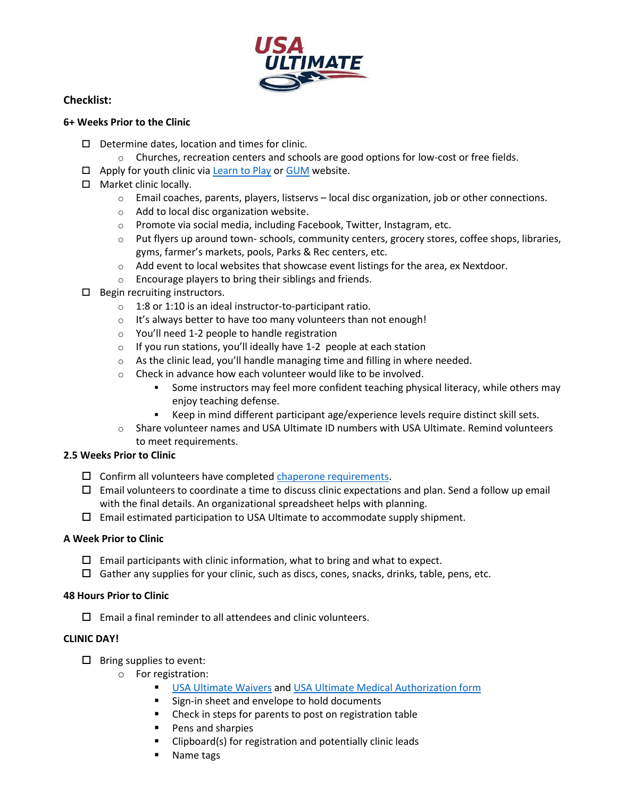

## **Checklist:**

## **6+ Weeks Prior to the Clinic**

- $\Box$  Determine dates, location and times for clinic.
	- $\circ$  Churches, recreation centers and schools are good options for low-cost or free fields.
- $\Box$  Apply for youth clinic via [Learn to Play](https://www.usaultimate.org/learn-to-play/) or [GUM](http://gum.usaultimate.org/) website.
- □ Market clinic locally.
	- o Email coaches, parents, players, listservs local disc organization, job or other connections.
	- o Add to local disc organization website.
	- $\circ$  Promote via social media, including Facebook, Twitter, Instagram, etc.
	- $\circ$  Put flyers up around town- schools, community centers, grocery stores, coffee shops, libraries, gyms, farmer's markets, pools, Parks & Rec centers, etc.
	- $\circ$  Add event to local websites that showcase event listings for the area, ex Nextdoor.
	- o Encourage players to bring their siblings and friends.
- $\Box$  Begin recruiting instructors.
	- o 1:8 or 1:10 is an ideal instructor-to-participant ratio.
	- o It's always better to have too many volunteers than not enough!
	- o You'll need 1-2 people to handle registration
	- o If you run stations, you'll ideally have 1-2 people at each station
	- $\circ$  As the clinic lead, you'll handle managing time and filling in where needed.
	- o Check in advance how each volunteer would like to be involved.
		- Some instructors may feel more confident teaching physical literacy, while others may enjoy teaching defense.
		- Keep in mind different participant age/experience levels require distinct skill sets.
	- o Share volunteer names and USA Ultimate ID numbers with USA Ultimate. Remind volunteers to meet requirements.

#### **2.5 Weeks Prior to Clinic**

- $\square$  Confirm all volunteers have completed [chaperone requirements.](https://usaultimate.org/resources/chaperoning/)
- $\Box$  Email volunteers to coordinate a time to discuss clinic expectations and plan. Send a follow up email with the final details. An organizational spreadsheet helps with planning.
- $\square$  Email estimated participation to USA Ultimate to accommodate supply shipment.

#### **A Week Prior to Clinic**

- $\Box$  Email participants with clinic information, what to bring and what to expect.
- $\Box$  Gather any supplies for your clinic, such as discs, cones, snacks, drinks, table, pens, etc.

#### **48 Hours Prior to Clinic**

 $\square$  Email a final reminder to all attendees and clinic volunteers.

## **CLINIC DAY!**

- $\square$  Bring supplies to event:
	- o For registration:
		- [USA Ultimate Waivers](https://www.usaultimate.org/assets/1/Page/2018%20USAU%20Waiver.pdf) and [USA Ultimate Medical Authorization form](https://www.usaultimate.org/assets/1/Page/Medical%20Authorization-V4.1.form.pdf)
		- Sign-in sheet and envelope to hold documents
		- **EXEC** Check in steps for parents to post on registration table
		- Pens and sharpies
		- **EXECUTE:** Clipboard(s) for registration and potentially clinic leads
		- Name tags